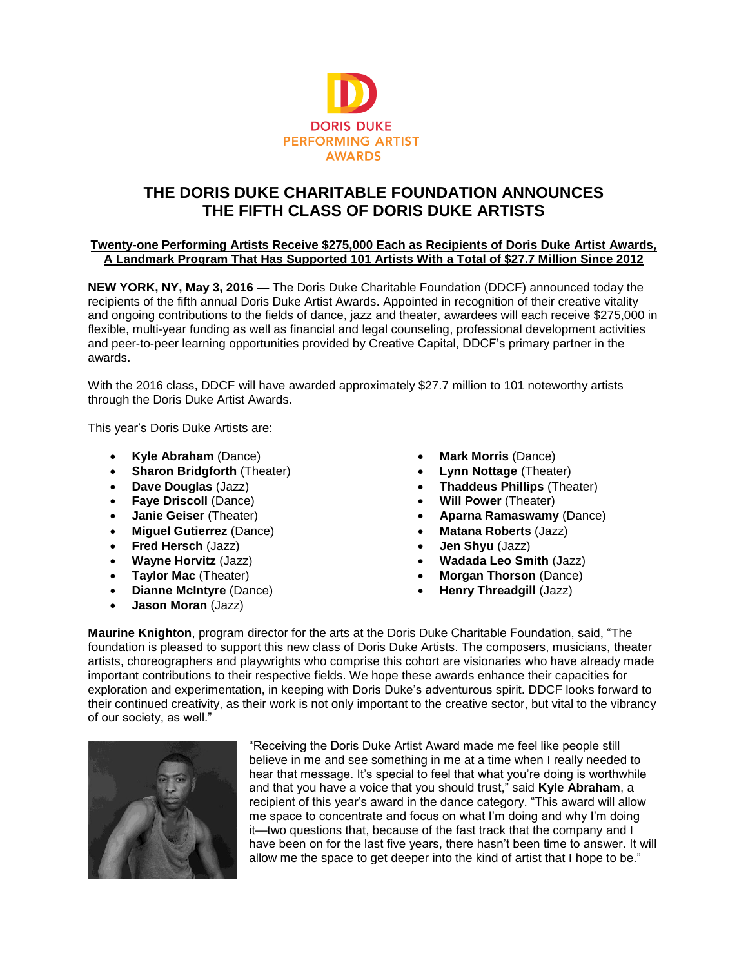

# **THE DORIS DUKE CHARITABLE FOUNDATION ANNOUNCES THE FIFTH CLASS OF DORIS DUKE ARTISTS**

## **Twenty-one Performing Artists Receive \$275,000 Each as Recipients of Doris Duke Artist Awards, A Landmark Program That Has Supported 101 Artists With a Total of \$27.7 Million Since 2012**

**NEW YORK, NY, May 3, 2016 —** The Doris Duke Charitable Foundation (DDCF) announced today the recipients of the fifth annual Doris Duke Artist Awards. Appointed in recognition of their creative vitality and ongoing contributions to the fields of dance, jazz and theater, awardees will each receive \$275,000 in flexible, multi-year funding as well as financial and legal counseling, professional development activities and peer-to-peer learning opportunities provided by Creative Capital, DDCF's primary partner in the awards.

With the 2016 class, DDCF will have awarded approximately \$27.7 million to 101 noteworthy artists through the Doris Duke Artist Awards.

This year's Doris Duke Artists are:

- **Kyle Abraham** (Dance)
- **Sharon Bridgforth** (Theater)
- **Dave Douglas** (Jazz)
- **Faye Driscoll** (Dance)
- **Janie Geiser** (Theater)
- **Miguel Gutierrez** (Dance)
- **Fred Hersch** (Jazz)
- **Wayne Horvitz** (Jazz)
- **Taylor Mac** (Theater)
- **Dianne McIntyre** (Dance)
- **Jason Moran** (Jazz)
- **Mark Morris** (Dance)
- **Lynn Nottage** (Theater)
- **Thaddeus Phillips** (Theater)
- **Will Power** (Theater)
- **Aparna Ramaswamy** (Dance)
- **Matana Roberts** (Jazz)
- **Jen Shyu** (Jazz)
- **Wadada Leo Smith** (Jazz)
- **Morgan Thorson** (Dance)
- **Henry Threadgill** (Jazz)

**Maurine Knighton**, program director for the arts at the Doris Duke Charitable Foundation, said, "The foundation is pleased to support this new class of Doris Duke Artists. The composers, musicians, theater artists, choreographers and playwrights who comprise this cohort are visionaries who have already made important contributions to their respective fields. We hope these awards enhance their capacities for exploration and experimentation, in keeping with Doris Duke's adventurous spirit. DDCF looks forward to their continued creativity, as their work is not only important to the creative sector, but vital to the vibrancy of our society, as well."



"Receiving the Doris Duke Artist Award made me feel like people still believe in me and see something in me at a time when I really needed to hear that message. It's special to feel that what you're doing is worthwhile and that you have a voice that you should trust," said **Kyle Abraham**, a recipient of this year's award in the dance category. "This award will allow me space to concentrate and focus on what I'm doing and why I'm doing it—two questions that, because of the fast track that the company and I have been on for the last five years, there hasn't been time to answer. It will allow me the space to get deeper into the kind of artist that I hope to be."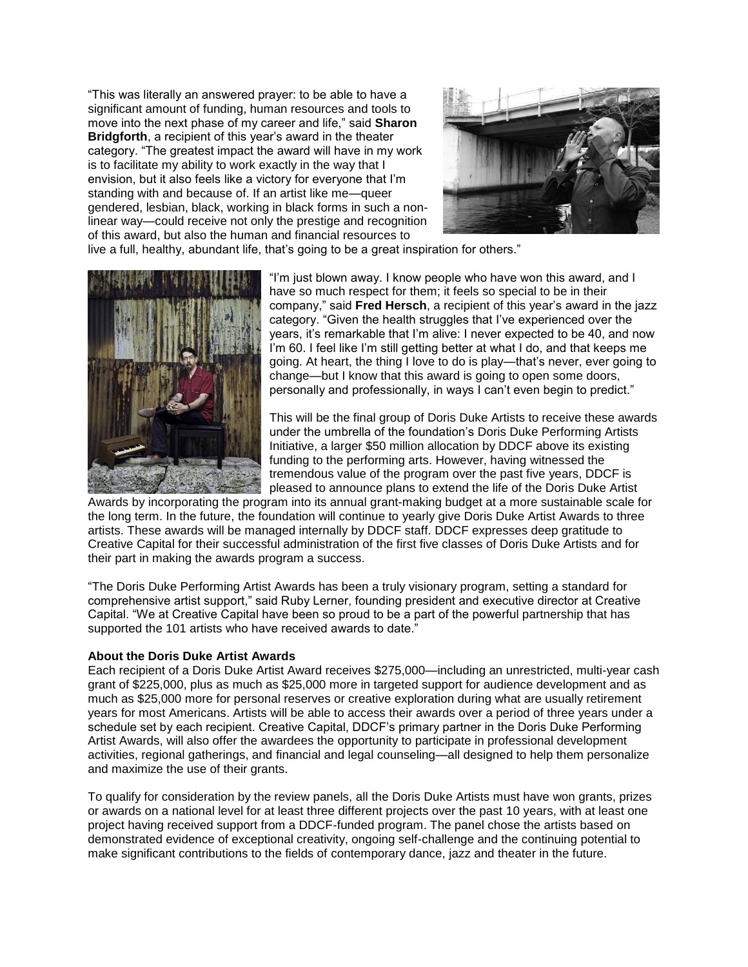"This was literally an answered prayer: to be able to have a significant amount of funding, human resources and tools to move into the next phase of my career and life," said **Sharon Bridgforth**, a recipient of this year's award in the theater category. "The greatest impact the award will have in my work is to facilitate my ability to work exactly in the way that I envision, but it also feels like a victory for everyone that I'm standing with and because of. If an artist like me—queer gendered, lesbian, black, working in black forms in such a nonlinear way—could receive not only the prestige and recognition of this award, but also the human and financial resources to



live a full, healthy, abundant life, that's going to be a great inspiration for others."



"I'm just blown away. I know people who have won this award, and I have so much respect for them; it feels so special to be in their company," said **Fred Hersch**, a recipient of this year's award in the jazz category. "Given the health struggles that I've experienced over the years, it's remarkable that I'm alive: I never expected to be 40, and now I'm 60. I feel like I'm still getting better at what I do, and that keeps me going. At heart, the thing I love to do is play—that's never, ever going to change—but I know that this award is going to open some doors, personally and professionally, in ways I can't even begin to predict."

This will be the final group of Doris Duke Artists to receive these awards under the umbrella of the foundation's Doris Duke Performing Artists Initiative, a larger \$50 million allocation by DDCF above its existing funding to the performing arts. However, having witnessed the tremendous value of the program over the past five years, DDCF is pleased to announce plans to extend the life of the Doris Duke Artist

Awards by incorporating the program into its annual grant-making budget at a more sustainable scale for the long term. In the future, the foundation will continue to yearly give Doris Duke Artist Awards to three artists. These awards will be managed internally by DDCF staff. DDCF expresses deep gratitude to Creative Capital for their successful administration of the first five classes of Doris Duke Artists and for their part in making the awards program a success.

"The Doris Duke Performing Artist Awards has been a truly visionary program, setting a standard for comprehensive artist support," said Ruby Lerner, founding president and executive director at Creative Capital. "We at Creative Capital have been so proud to be a part of the powerful partnership that has supported the 101 artists who have received awards to date."

#### **About the Doris Duke Artist Awards**

Each recipient of a Doris Duke Artist Award receives \$275,000—including an unrestricted, multi-year cash grant of \$225,000, plus as much as \$25,000 more in targeted support for audience development and as much as \$25,000 more for personal reserves or creative exploration during what are usually retirement years for most Americans. Artists will be able to access their awards over a period of three years under a schedule set by each recipient. Creative Capital, DDCF's primary partner in the Doris Duke Performing Artist Awards, will also offer the awardees the opportunity to participate in professional development activities, regional gatherings, and financial and legal counseling—all designed to help them personalize and maximize the use of their grants.

To qualify for consideration by the review panels, all the Doris Duke Artists must have won grants, prizes or awards on a national level for at least three different projects over the past 10 years, with at least one project having received support from a DDCF-funded program. The panel chose the artists based on demonstrated evidence of exceptional creativity, ongoing self-challenge and the continuing potential to make significant contributions to the fields of contemporary dance, jazz and theater in the future.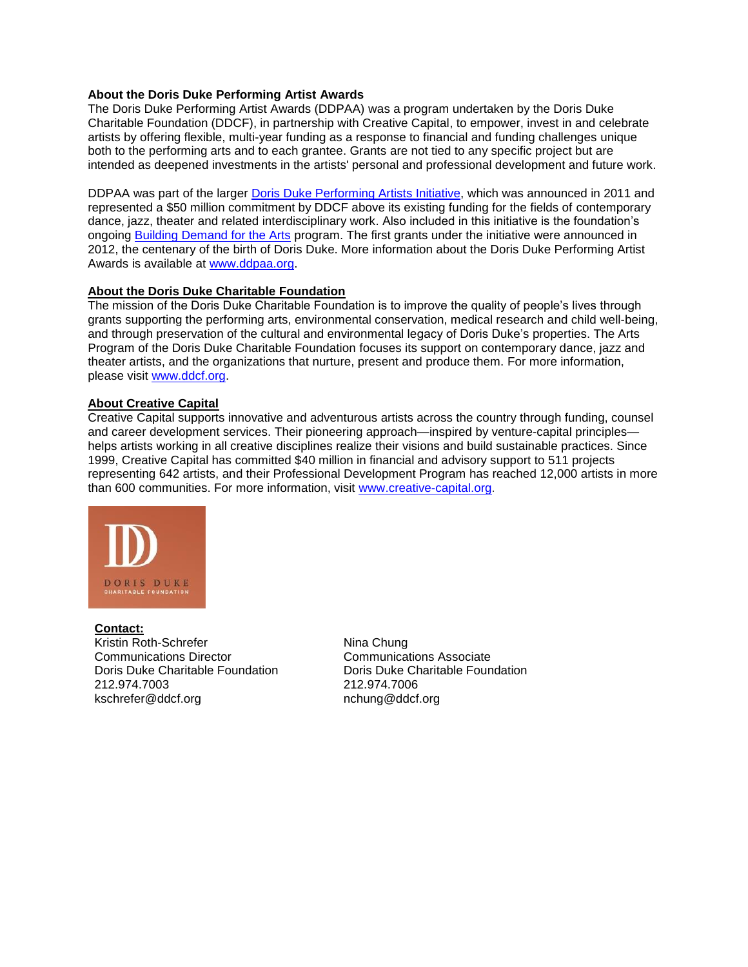## **About the Doris Duke Performing Artist Awards**

The Doris Duke Performing Artist Awards (DDPAA) was a program undertaken by the Doris Duke Charitable Foundation (DDCF), in partnership with Creative Capital, to empower, invest in and celebrate artists by offering flexible, multi-year funding as a response to financial and funding challenges unique both to the performing arts and to each grantee. Grants are not tied to any specific project but are intended as deepened investments in the artists' personal and professional development and future work.

DDPAA was part of the larger [Doris Duke Performing Artists](http://www.ddcf.org/what-we-fund/performing-arts/initiatives/unrestricted-support-for-artists/performing-artists-initiative/) Initiative, which was announced in 2011 and represented a \$50 million commitment by DDCF above its existing funding for the fields of contemporary dance, jazz, theater and related interdisciplinary work. Also included in this initiative is the foundation's ongoing [Building Demand for the Arts](http://www.ddcf.org/what-we-fund/performing-arts/initiatives/unrestricted-support-for-artists/performing-artists-initiative/doris-duke-building-demand-for-the-arts/) program. The first grants under the initiative were announced in 2012, the centenary of the birth of Doris Duke. More information about the Doris Duke Performing Artist Awards is available at [www.ddpaa.org.](http://www.ddpaa.org/)

#### **About the Doris Duke Charitable Foundation**

The mission of the Doris Duke Charitable Foundation is to improve the quality of people's lives through grants supporting the performing arts, environmental conservation, medical research and child well-being, and through preservation of the cultural and environmental legacy of Doris Duke's properties. The Arts Program of the Doris Duke Charitable Foundation focuses its support on contemporary dance, jazz and theater artists, and the organizations that nurture, present and produce them. For more information, please visit [www.ddcf.org.](http://www.ddcf.org/)

## **About Creative Capital**

Creative Capital supports innovative and adventurous artists across the country through funding, counsel and career development services. Their pioneering approach—inspired by venture-capital principles helps artists working in all creative disciplines realize their visions and build sustainable practices. Since 1999, Creative Capital has committed \$40 million in financial and advisory support to 511 projects representing 642 artists, and their Professional Development Program has reached 12,000 artists in more than 600 communities. For more information, visit [www.creative-capital.org.](http://www.creative-capital.org/)



**Contact:** Kristin Roth-Schrefer Communications Director Doris Duke Charitable Foundation 212.974.7003 kschrefer@ddcf.org

Nina Chung Communications Associate Doris Duke Charitable Foundation 212.974.7006 nchung@ddcf.org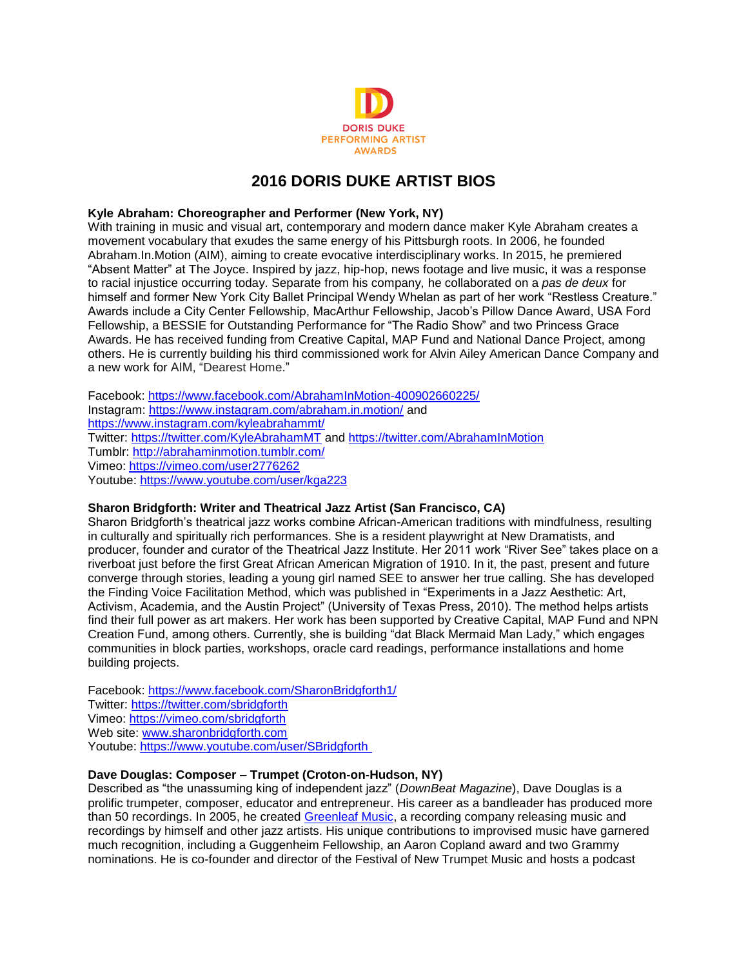

# **2016 DORIS DUKE ARTIST BIOS**

## **Kyle Abraham: Choreographer and Performer (New York, NY)**

With training in music and visual art, contemporary and modern dance maker Kyle Abraham creates a movement vocabulary that exudes the same energy of his Pittsburgh roots. In 2006, he founded Abraham.In.Motion (AIM), aiming to create evocative interdisciplinary works. In 2015, he premiered "Absent Matter" at The Joyce. Inspired by jazz, hip-hop, news footage and live music, it was a response to racial injustice occurring today. Separate from his company, he collaborated on a *pas de deux* for himself and former New York City Ballet Principal Wendy Whelan as part of her work "Restless Creature." Awards include a City Center Fellowship, MacArthur Fellowship, Jacob's Pillow Dance Award, USA Ford Fellowship, a BESSIE for Outstanding Performance for "The Radio Show" and two Princess Grace Awards. He has received funding from Creative Capital, MAP Fund and National Dance Project, among others. He is currently building his third commissioned work for Alvin Ailey American Dance Company and a new work for AIM, "Dearest Home."

Facebook:<https://www.facebook.com/AbrahamInMotion-400902660225/> Instagram:<https://www.instagram.com/abraham.in.motion/> and <https://www.instagram.com/kyleabrahammt/> Twitter:<https://twitter.com/KyleAbrahamMT> and<https://twitter.com/AbrahamInMotion> Tumblr:<http://abrahaminmotion.tumblr.com/> Vimeo:<https://vimeo.com/user2776262> Youtube:<https://www.youtube.com/user/kga223>

#### **Sharon Bridgforth: Writer and Theatrical Jazz Artist (San Francisco, CA)**

Sharon Bridgforth's theatrical jazz works combine African-American traditions with mindfulness, resulting in culturally and spiritually rich performances. She is a resident playwright at New Dramatists, and producer, founder and curator of the Theatrical Jazz Institute. Her 2011 work "River See" takes place on a riverboat just before the first Great African American Migration of 1910. In it, the past, present and future converge through stories, leading a young girl named SEE to answer her true calling. She has developed the Finding Voice Facilitation Method, which was published in "Experiments in a Jazz Aesthetic: Art, Activism, Academia, and the Austin Project" (University of Texas Press, 2010). The method helps artists find their full power as art makers. Her work has been supported by Creative Capital, MAP Fund and NPN Creation Fund, among others. Currently, she is building "dat Black Mermaid Man Lady," which engages communities in block parties, workshops, oracle card readings, performance installations and home building projects.

Facebook:<https://www.facebook.com/SharonBridgforth1/> Twitter:<https://twitter.com/sbridgforth> Vimeo:<https://vimeo.com/sbridgforth> Web site: [www.sharonbridgforth.com](http://www.sharonbridgforth.com/) Youtube: [https://www.youtube.com/user/SBridgforth](https://www.youtube.com/user/SBridgforth )

# **Dave Douglas: Composer – Trumpet (Croton-on-Hudson, NY)**

Described as "the unassuming king of independent jazz" (*DownBeat Magazine*), Dave Douglas is a prolific trumpeter, composer, educator and entrepreneur. His career as a bandleader has produced more than 50 recordings. In 2005, he created [Greenleaf Music,](https://www.greenleafmusic.com/) a recording company releasing music and recordings by himself and other jazz artists. His unique contributions to improvised music have garnered much recognition, including a Guggenheim Fellowship, an Aaron Copland award and two Grammy nominations. He is co-founder and director of the Festival of New Trumpet Music and hosts a podcast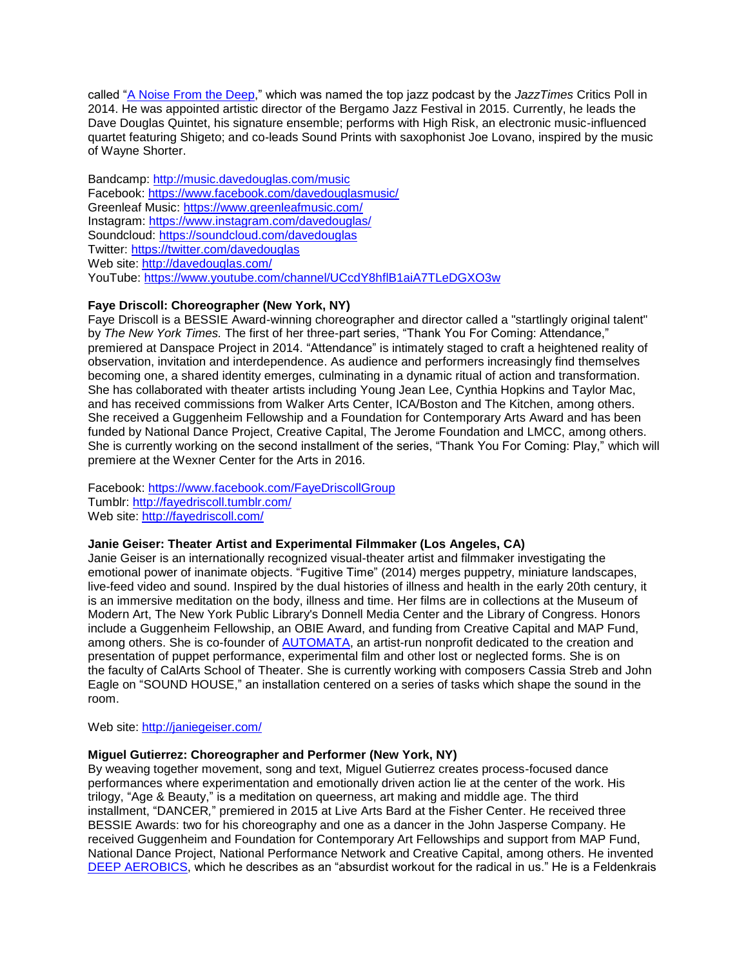called ["A Noise From the Deep,](https://www.greenleafmusic.com/category/podcast)" which was named the top jazz podcast by the *JazzTimes* Critics Poll in 2014. He was appointed artistic director of the Bergamo Jazz Festival in 2015. Currently, he leads the Dave Douglas Quintet, his signature ensemble; performs with High Risk, an electronic music-influenced quartet featuring Shigeto; and co-leads Sound Prints with saxophonist Joe Lovano, inspired by the music of Wayne Shorter.

Bandcamp:<http://music.davedouglas.com/music> Facebook:<https://www.facebook.com/davedouglasmusic/> Greenleaf Music:<https://www.greenleafmusic.com/> Instagram:<https://www.instagram.com/davedouglas/> Soundcloud:<https://soundcloud.com/davedouglas> Twitter:<https://twitter.com/davedouglas> Web site:<http://davedouglas.com/> YouTube:<https://www.youtube.com/channel/UCcdY8hflB1aiA7TLeDGXO3w>

# **Faye Driscoll: Choreographer (New York, NY)**

Faye Driscoll is a BESSIE Award-winning choreographer and director called a "startlingly original talent" by *The New York Times.* The first of her three-part series, "Thank You For Coming: Attendance," premiered at Danspace Project in 2014. "Attendance" is intimately staged to craft a heightened reality of observation, invitation and interdependence. As audience and performers increasingly find themselves becoming one, a shared identity emerges, culminating in a dynamic ritual of action and transformation. She has collaborated with theater artists including Young Jean Lee, Cynthia Hopkins and Taylor Mac, and has received commissions from Walker Arts Center, ICA/Boston and The Kitchen, among others. She received a Guggenheim Fellowship and a Foundation for Contemporary Arts Award and has been funded by National Dance Project, Creative Capital, The Jerome Foundation and LMCC, among others. She is currently working on the second installment of the series, "Thank You For Coming: Play," which will premiere at the Wexner Center for the Arts in 2016.

Facebook:<https://www.facebook.com/FayeDriscollGroup> Tumblr:<http://fayedriscoll.tumblr.com/> Web site:<http://fayedriscoll.com/>

## **Janie Geiser: Theater Artist and Experimental Filmmaker (Los Angeles, CA)**

Janie Geiser is an internationally recognized visual-theater artist and filmmaker investigating the emotional power of inanimate objects. "Fugitive Time" (2014) merges puppetry, miniature landscapes, live-feed video and sound. Inspired by the dual histories of illness and health in the early 20th century, it is an immersive meditation on the body, illness and time. Her films are in collections at the Museum of Modern Art, The New York Public Library's Donnell Media Center and the Library of Congress. Honors include a Guggenheim Fellowship, an OBIE Award, and funding from Creative Capital and MAP Fund, among others. She is co-founder of [AUTOMATA,](http://www.automata-la.org/) an artist-run nonprofit dedicated to the creation and presentation of puppet performance, experimental film and other lost or neglected forms. She is on the faculty of CalArts School of Theater. She is currently working with composers Cassia Streb and John Eagle on "SOUND HOUSE," an installation centered on a series of tasks which shape the sound in the room.

Web site:<http://janiegeiser.com/>

#### **Miguel Gutierrez: Choreographer and Performer (New York, NY)**

By weaving together movement, song and text, Miguel Gutierrez creates process-focused dance performances where experimentation and emotionally driven action lie at the center of the work. His trilogy, "Age & Beauty," is a meditation on queerness, art making and middle age. The third installment, "DANCER*,*" premiered in 2015 at Live Arts Bard at the Fisher Center. He received three BESSIE Awards: two for his choreography and one as a dancer in the John Jasperse Company. He received Guggenheim and Foundation for Contemporary Art Fellowships and support from MAP Fund, National Dance Project, National Performance Network and Creative Capital, among others. He invented [DEEP AEROBICS,](http://www.miguelgutierrez.org/deepaerobics/groove/) which he describes as an "absurdist workout for the radical in us." He is a Feldenkrais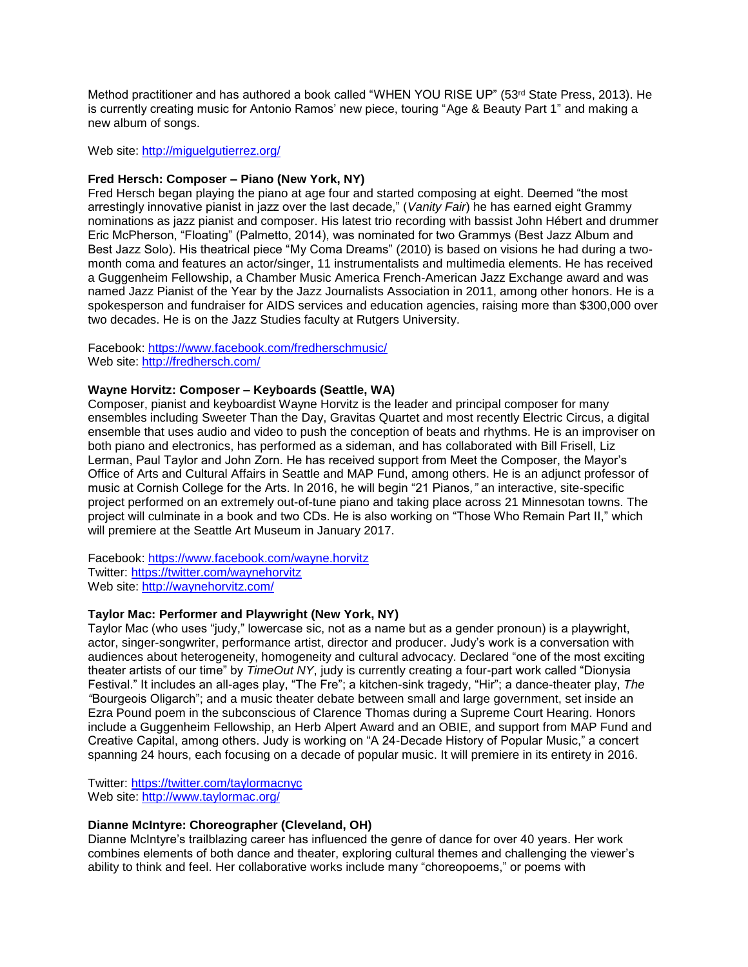Method practitioner and has authored a book called "WHEN YOU RISE UP" (53rd State Press, 2013). He is currently creating music for Antonio Ramos' new piece, touring "Age & Beauty Part 1" and making a new album of songs.

Web site:<http://miguelgutierrez.org/>

#### **Fred Hersch: Composer – Piano (New York, NY)**

Fred Hersch began playing the piano at age four and started composing at eight. Deemed "the most arrestingly innovative pianist in jazz over the last decade," (*Vanity Fair*) he has earned eight Grammy nominations as jazz pianist and composer. His latest trio recording with bassist John Hébert and drummer Eric McPherson, "Floating" (Palmetto, 2014), was nominated for two Grammys (Best Jazz Album and Best Jazz Solo). His theatrical piece "My Coma Dreams" (2010) is based on visions he had during a twomonth coma and features an actor/singer, 11 instrumentalists and multimedia elements. He has received a Guggenheim Fellowship, a Chamber Music America French-American Jazz Exchange award and was named Jazz Pianist of the Year by the Jazz Journalists Association in 2011, among other honors. He is a spokesperson and fundraiser for AIDS services and education agencies, raising more than \$300,000 over two decades. He is on the Jazz Studies faculty at Rutgers University.

Facebook:<https://www.facebook.com/fredherschmusic/> Web site:<http://fredhersch.com/>

#### **Wayne Horvitz: Composer – Keyboards (Seattle, WA)**

Composer, pianist and keyboardist Wayne Horvitz is the leader and principal composer for many ensembles including Sweeter Than the Day, Gravitas Quartet and most recently Electric Circus, a digital ensemble that uses audio and video to push the conception of beats and rhythms. He is an improviser on both piano and electronics, has performed as a sideman, and has collaborated with Bill Frisell, Liz Lerman, Paul Taylor and John Zorn. He has received support from Meet the Composer, the Mayor's Office of Arts and Cultural Affairs in Seattle and MAP Fund, among others. He is an adjunct professor of music at Cornish College for the Arts. In 2016, he will begin "21 Pianos*,"* an interactive, site-specific project performed on an extremely out-of-tune piano and taking place across 21 Minnesotan towns. The project will culminate in a book and two CDs. He is also working on "Those Who Remain Part II," which will premiere at the Seattle Art Museum in January 2017.

Facebook:<https://www.facebook.com/wayne.horvitz> Twitter:<https://twitter.com/waynehorvitz> Web site:<http://waynehorvitz.com/>

#### **Taylor Mac: Performer and Playwright (New York, NY)**

Taylor Mac (who uses "judy," lowercase sic, not as a name but as a gender pronoun) is a playwright, actor, singer-songwriter, performance artist, director and producer. Judy's work is a conversation with audiences about heterogeneity, homogeneity and cultural advocacy. Declared "one of the most exciting theater artists of our time" by *TimeOut NY*, judy is currently creating a four-part work called "Dionysia Festival." It includes an all-ages play, "The Fre"; a kitchen-sink tragedy, "Hir"; a dance-theater play, *The "*Bourgeois Oligarch"; and a music theater debate between small and large government, set inside an Ezra Pound poem in the subconscious of Clarence Thomas during a Supreme Court Hearing. Honors include a Guggenheim Fellowship, an Herb Alpert Award and an OBIE, and support from MAP Fund and Creative Capital, among others. Judy is working on "A 24-Decade History of Popular Music," a concert spanning 24 hours, each focusing on a decade of popular music. It will premiere in its entirety in 2016.

Twitter: <https://twitter.com/taylormacnyc> Web site:<http://www.taylormac.org/>

## **Dianne McIntyre: Choreographer (Cleveland, OH)**

Dianne McIntyre's trailblazing career has influenced the genre of dance for over 40 years. Her work combines elements of both dance and theater, exploring cultural themes and challenging the viewer's ability to think and feel. Her collaborative works include many "choreopoems," or poems with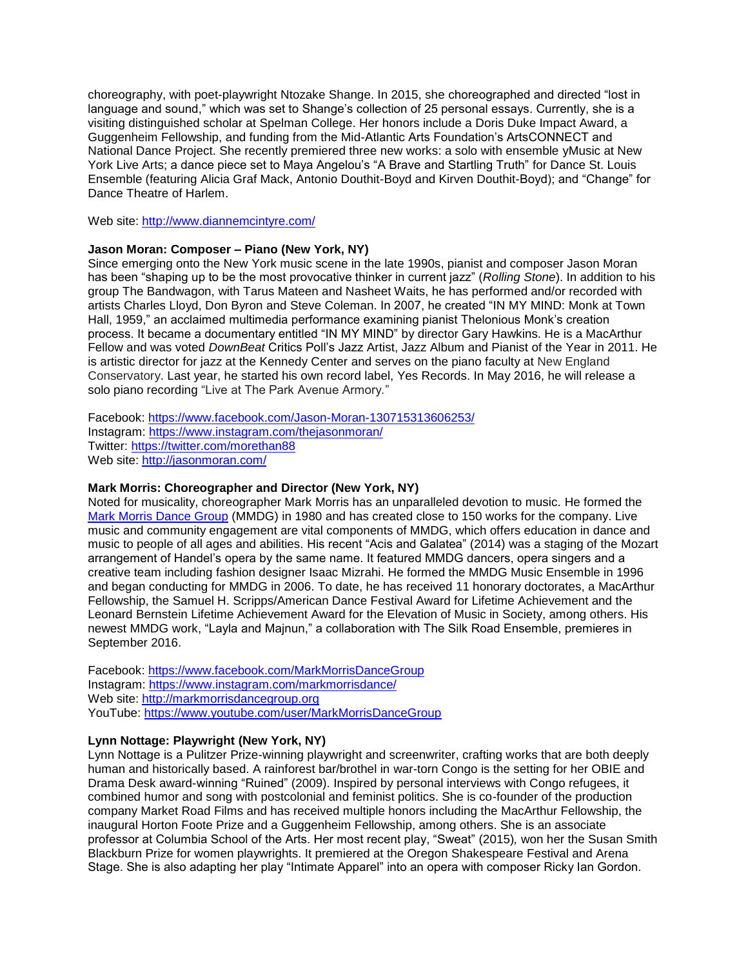choreography, with poet-playwright Ntozake Shange. In 2015, she choreographed and directed "lost in language and sound," which was set to Shange's collection of 25 personal essays. Currently, she is a visiting distinguished scholar at Spelman College. Her honors include a Doris Duke Impact Award, a Guggenheim Fellowship, and funding from the Mid-Atlantic Arts Foundation's ArtsCONNECT and National Dance Project. She recently premiered three new works: a solo with ensemble yMusic at New York Live Arts; a dance piece set to Maya Angelou's "A Brave and Startling Truth" for Dance St. Louis Ensemble (featuring Alicia Graf Mack, Antonio Douthit-Boyd and Kirven Douthit-Boyd); and "Change" for Dance Theatre of Harlem.

Web site:<http://www.diannemcintyre.com/>

#### **Jason Moran: Composer – Piano (New York, NY)**

Since emerging onto the New York music scene in the late 1990s, pianist and composer Jason Moran has been "shaping up to be the most provocative thinker in current jazz" (*Rolling Stone*). In addition to his group The Bandwagon, with Tarus Mateen and Nasheet Waits, he has performed and/or recorded with artists Charles Lloyd, Don Byron and Steve Coleman. In 2007, he created "IN MY MIND: Monk at Town Hall, 1959," an acclaimed multimedia performance examining pianist Thelonious Monk's creation process. It became a documentary entitled "IN MY MIND" by director Gary Hawkins. He is a MacArthur Fellow and was voted *DownBeat* Critics Poll's Jazz Artist, Jazz Album and Pianist of the Year in 2011. He is artistic director for jazz at the Kennedy Center and serves on the piano faculty at New England Conservatory. Last year, he started his own record label, Yes Records. In May 2016, he will release a solo piano recording "Live at The Park Avenue Armory*.*"

Facebook:<https://www.facebook.com/Jason-Moran-130715313606253/> Instagram:<https://www.instagram.com/thejasonmoran/> Twitter:<https://twitter.com/morethan88> Web site:<http://jasonmoran.com/>

#### **Mark Morris: Choreographer and Director (New York, NY)**

Noted for musicality, choreographer Mark Morris has an unparalleled devotion to music. He formed the [Mark Morris Dance Group](http://markmorrisdancegroup.org/dance-center) (MMDG) in 1980 and has created close to 150 works for the company. Live music and community engagement are vital components of MMDG, which offers education in dance and music to people of all ages and abilities. His recent "Acis and Galatea" (2014) was a staging of the Mozart arrangement of Handel's opera by the same name. It featured MMDG dancers, opera singers and a creative team including fashion designer Isaac Mizrahi. He formed the MMDG Music Ensemble in 1996 and began conducting for MMDG in 2006. To date, he has received 11 honorary doctorates, a MacArthur Fellowship, the Samuel H. Scripps/American Dance Festival Award for Lifetime Achievement and the Leonard Bernstein Lifetime Achievement Award for the Elevation of Music in Society, among others. His newest MMDG work, "Layla and Majnun," a collaboration with The Silk Road Ensemble, premieres in September 2016.

Facebook:<https://www.facebook.com/MarkMorrisDanceGroup> Instagram:<https://www.instagram.com/markmorrisdance/> Web site: [http://markmorrisdancegroup.org](http://markmorrisdancegroup.org/) YouTube:<https://www.youtube.com/user/MarkMorrisDanceGroup>

#### **Lynn Nottage: Playwright (New York, NY)**

Lynn Nottage is a Pulitzer Prize-winning playwright and screenwriter, crafting works that are both deeply human and historically based. A rainforest bar/brothel in war-torn Congo is the setting for her OBIE and Drama Desk award-winning "Ruined" (2009). Inspired by personal interviews with Congo refugees, it combined humor and song with postcolonial and feminist politics. She is co-founder of the production company Market Road Films and has received multiple honors including the MacArthur Fellowship, the inaugural Horton Foote Prize and a Guggenheim Fellowship, among others. She is an associate professor at Columbia School of the Arts. Her most recent play, "Sweat" (2015)*,* won her the Susan Smith Blackburn Prize for women playwrights. It premiered at the Oregon Shakespeare Festival and Arena Stage. She is also adapting her play "Intimate Apparel" into an opera with composer Ricky Ian Gordon.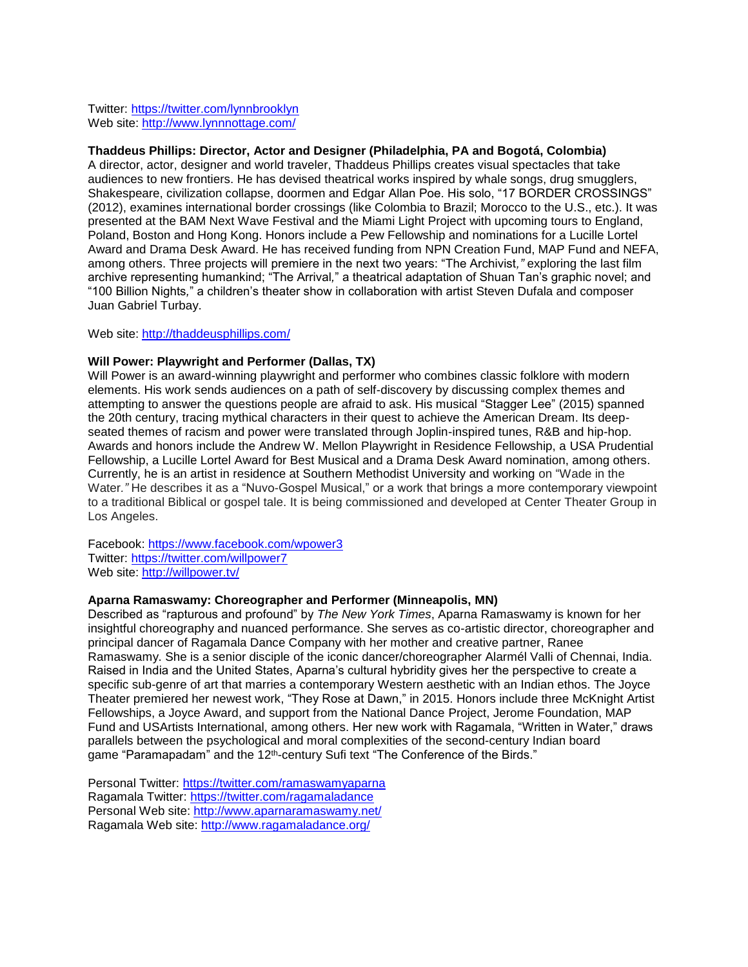Twitter:<https://twitter.com/lynnbrooklyn> Web site:<http://www.lynnnottage.com/>

#### **Thaddeus Phillips: Director, Actor and Designer (Philadelphia, PA and Bogotá, Colombia)**

A director, actor, designer and world traveler, Thaddeus Phillips creates visual spectacles that take audiences to new frontiers. He has devised theatrical works inspired by whale songs, drug smugglers, Shakespeare, civilization collapse, doormen and Edgar Allan Poe. His solo, "17 BORDER CROSSINGS" (2012), examines international border crossings (like Colombia to Brazil; Morocco to the U.S., etc.). It was presented at the BAM Next Wave Festival and the Miami Light Project with upcoming tours to England, Poland, Boston and Hong Kong. Honors include a Pew Fellowship and nominations for a Lucille Lortel Award and Drama Desk Award. He has received funding from NPN Creation Fund, MAP Fund and NEFA, among others. Three projects will premiere in the next two years: "The Archivist*,"* exploring the last film archive representing humankind; "The Arrival*,*" a theatrical adaptation of Shuan Tan's graphic novel; and "100 Billion Nights*,*" a children's theater show in collaboration with artist Steven Dufala and composer Juan Gabriel Turbay.

Web site:<http://thaddeusphillips.com/>

## **Will Power: Playwright and Performer (Dallas, TX)**

Will Power is an award-winning playwright and performer who combines classic folklore with modern elements. His work sends audiences on a path of self-discovery by discussing complex themes and attempting to answer the questions people are afraid to ask. His musical "Stagger Lee" (2015) spanned the 20th century, tracing mythical characters in their quest to achieve the American Dream. Its deepseated themes of racism and power were translated through Joplin-inspired tunes, R&B and hip-hop. Awards and honors include the Andrew W. Mellon Playwright in Residence Fellowship, a USA Prudential Fellowship, a Lucille Lortel Award for Best Musical and a Drama Desk Award nomination, among others. Currently, he is an artist in residence at Southern Methodist University and working on "Wade in the Water*."* He describes it as a "Nuvo-Gospel Musical," or a work that brings a more contemporary viewpoint to a traditional Biblical or gospel tale. It is being commissioned and developed at Center Theater Group in Los Angeles.

Facebook:<https://www.facebook.com/wpower3> Twitter:<https://twitter.com/willpower7> Web site:<http://willpower.tv/>

#### **Aparna Ramaswamy: Choreographer and Performer (Minneapolis, MN)**

Described as "rapturous and profound" by *The New York Times*, Aparna Ramaswamy is known for her insightful choreography and nuanced performance. She serves as co-artistic director, choreographer and principal dancer of Ragamala Dance Company with her mother and creative partner, Ranee Ramaswamy. She is a senior disciple of the iconic dancer/choreographer Alarmél Valli of Chennai, India. Raised in India and the United States, Aparna's cultural hybridity gives her the perspective to create a specific sub-genre of art that marries a contemporary Western aesthetic with an Indian ethos. The Joyce Theater premiered her newest work, "They Rose at Dawn," in 2015. Honors include three McKnight Artist Fellowships, a Joyce Award, and support from the National Dance Project, Jerome Foundation, MAP Fund and USArtists International, among others. Her new work with Ragamala, "Written in Water," draws parallels between the psychological and moral complexities of the second-century Indian board game "Paramapadam" and the 12<sup>th</sup>-century Sufi text "The Conference of the Birds."

Personal Twitter:<https://twitter.com/ramaswamyaparna> Ragamala Twitter:<https://twitter.com/ragamaladance> Personal Web site:<http://www.aparnaramaswamy.net/> Ragamala Web site:<http://www.ragamaladance.org/>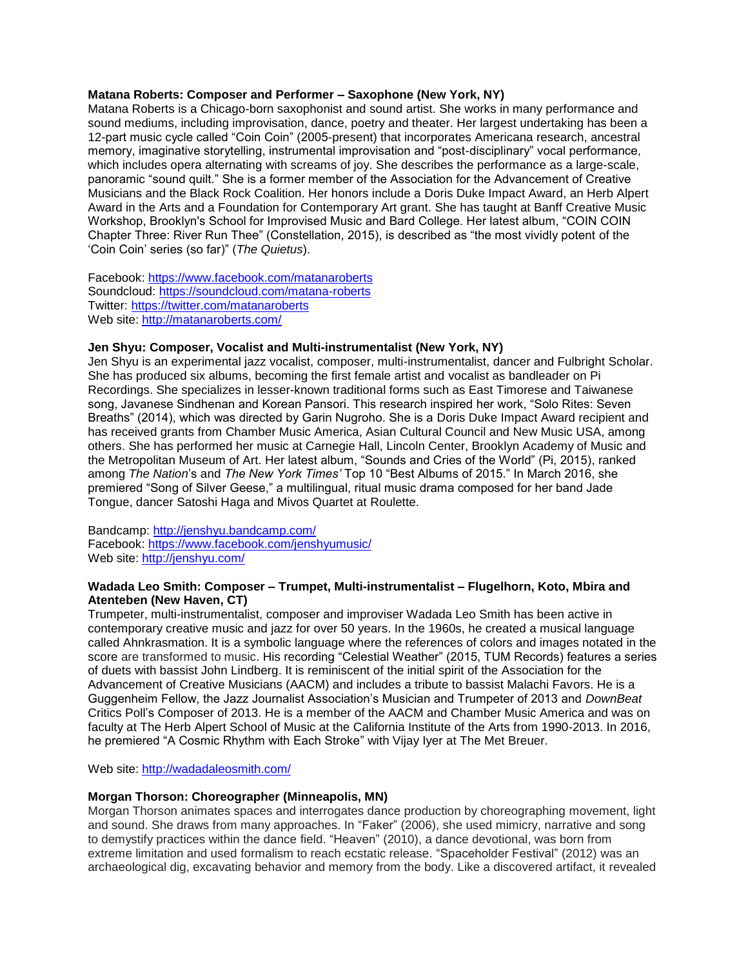## **Matana Roberts: Composer and Performer – Saxophone (New York, NY)**

Matana Roberts is a Chicago-born saxophonist and sound artist. She works in many performance and sound mediums, including improvisation, dance, poetry and theater. Her largest undertaking has been a 12-part music cycle called "Coin Coin" (2005-present) that incorporates Americana research, ancestral memory, imaginative storytelling, instrumental improvisation and "post-disciplinary" vocal performance, which includes opera alternating with screams of joy. She describes the performance as a large-scale, panoramic "sound quilt." She is a former member of the Association for the Advancement of Creative Musicians and the Black Rock Coalition. Her honors include a Doris Duke Impact Award, an Herb Alpert Award in the Arts and a Foundation for Contemporary Art grant. She has taught at Banff Creative Music Workshop, Brooklyn's School for Improvised Music and Bard College. Her latest album, "COIN COIN Chapter Three: River Run Thee" (Constellation, 2015), is described as "the most vividly potent of the 'Coin Coin' series (so far)" (*The Quietus*).

Facebook:<https://www.facebook.com/matanaroberts> Soundcloud:<https://soundcloud.com/matana-roberts> Twitter:<https://twitter.com/matanaroberts> Web site:<http://matanaroberts.com/>

## **Jen Shyu: Composer, Vocalist and Multi-instrumentalist (New York, NY)**

Jen Shyu is an experimental jazz vocalist, composer, multi-instrumentalist, dancer and Fulbright Scholar. She has produced six albums, becoming the first female artist and vocalist as bandleader on Pi Recordings. She specializes in lesser-known traditional forms such as East Timorese and Taiwanese song, Javanese Sindhenan and Korean Pansori. This research inspired her work, "Solo Rites: Seven Breaths" (2014), which was directed by Garin Nugroho. She is a Doris Duke Impact Award recipient and has received grants from Chamber Music America, Asian Cultural Council and New Music USA, among others. She has performed her music at Carnegie Hall, Lincoln Center, Brooklyn Academy of Music and the Metropolitan Museum of Art. Her latest album, "Sounds and Cries of the World" (Pi, 2015), ranked among *The Nation*'s and *The New York Times'* Top 10 "Best Albums of 2015." In March 2016, she premiered "Song of Silver Geese," a multilingual, ritual music drama composed for her band Jade Tongue, dancer Satoshi Haga and Mivos Quartet at Roulette.

Bandcamp:<http://jenshyu.bandcamp.com/> Facebook:<https://www.facebook.com/jenshyumusic/> Web site:<http://jenshyu.com/>

#### **Wadada Leo Smith: Composer – Trumpet, Multi-instrumentalist – Flugelhorn, Koto, Mbira and Atenteben (New Haven, CT)**

Trumpeter, multi-instrumentalist, composer and improviser Wadada Leo Smith has been active in contemporary creative music and jazz for over 50 years. In the 1960s, he created a musical language called Ahnkrasmation. It is a symbolic language where the references of colors and images notated in the score are transformed to music. His recording "Celestial Weather" (2015, TUM Records) features a series of duets with bassist John Lindberg. It is reminiscent of the initial spirit of the Association for the Advancement of Creative Musicians (AACM) and includes a tribute to bassist Malachi Favors. He is a Guggenheim Fellow, the Jazz Journalist Association's Musician and Trumpeter of 2013 and *DownBeat* Critics Poll's Composer of 2013. He is a member of the AACM and Chamber Music America and was on faculty at The Herb Alpert School of Music at the California Institute of the Arts from 1990-2013. In 2016, he premiered "A Cosmic Rhythm with Each Stroke" with Vijay Iyer at The Met Breuer.

Web site:<http://wadadaleosmith.com/>

#### **Morgan Thorson: Choreographer (Minneapolis, MN)**

Morgan Thorson animates spaces and interrogates dance production by choreographing movement, light and sound. She draws from many approaches. In "Faker" (2006), she used mimicry, narrative and song to demystify practices within the dance field. "Heaven" (2010), a dance devotional, was born from extreme limitation and used formalism to reach ecstatic release. "Spaceholder Festival" (2012) was an archaeological dig, excavating behavior and memory from the body. Like a discovered artifact, it revealed